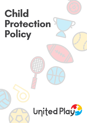# Child Protection Policy

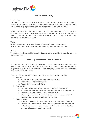

# **Child Protection Policy**

#### **Introduction**

The need to protect children against exploitation, discrimination, abuse, etc. is an topic of extreme global concern. As children are dependent on adults to care for and protect them, it is our responsibility to prevent any possible infringements on the rights of a child.

United Play International has created and adopted this child protection policy in recognition of its responsibility as an international organization. We are committed to working with its partners, stakeholders, and local communities to prevent and respond to any child exploitation, discrimination or abuse.

#### **Vision**

-To help provide sporting opportunities for all, especially communities in need.

-To create free and easily accessible sport for development tools and resources.

#### **Mission**

To create an equitable world where all individuals are able participate in quality sport and play experiences.

# **United Play International Code of Conduct**

All active members of United Play International and its branches, shall understand and adhere to the following code of conduct. Any breach in this code of conduct may be deemed as grounds for suspension, or termination, upon a majority decision from the United Play International Board of Directors.

Members of United play shall adhere to the following code of conduct and ethics:

- 1. Respect
	- a. Respect for each branch and team members involved.
	- b. Respect for all program participants.
	- c. Respect for partner organizations.
- 2. Responsibility
	- a. Performing all duties in a timely manner, to the best of one's ability.
	- b. Prioritizing the safety and wellbeing of children and vulnerable populations.
	- c. Understand and adhere to the Child Protection Policy.
	- d. Obtaining permission for the use and distribution of all media from legal sources and participants of workshops and events.
- 3. Professionalism
	- a. Acting in a professional manner during all work related tasks and events.
	- b. Understanding that professionalism extends beyond the work environment, and that each member is an active representative of the organisation both online, and throughout social media outlets.

www.unitedplayinternational.com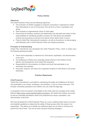

# **Policy Outline**

## **Objectives**

The Child Protection Policy has the following objectives:

- The protection of children engaged in programs conducted or organised by United Play International or one of its branches, from all forms of harm, exploitation and abuse.
- Work towards an organisational culture of child safety.
- Ensure that all members, partners and stakeholders are educated and aware of their responsibilities for identifying possible occasions for child abuse and establish controls and procedures to prevent such abuse and/or detect when it occurs.
- Protect United Play International's reputation, as well as its partners, by discouraging child offenders with a Child Protection Policy and related procedures.

## **Principles of Understanding**

United Play International has developed this Child Protection Policy, which is based upon the following guiding principles:

- There will be absolutely no tolerance for child abuse, exploitation, and discrimination of any kind.
- The wellbeing of children and vulnerable people shall be in the forefront of the delivery and development of all United Play programs.
- Responsibility for the protection of children and youth that participate in our workshops and activities.
- Document, respond, and report any suspected incidents of child abuse to the proper authorities.

# **Position Statements**

#### **Child Protection**

United Play International is committed to maintaining the safety and wellbeing of all those who participate in our events, workshops, and activities, or use our online resources. This includes vulnerable populations and children who are under the legal age.

In recognition of the Convention of the Rights of the Child under the mandate of the United Nations [\(https://www.unicef.org/child-rights-convention\)](https://www.unicef.org/child-rights-convention). We realise that children and youth, as well as vulnerable populations need to be protected from abuse, exploitation, and discrimination of all forms.

We have developed this Child Protection Policy as a way to address these areas of concern and establish guidelines to determine the safety of these groups within the scope of our organisation. This allows us to identify any additional steps we can take to minimise and prevent the risk of harm. This can be done using the following strategies:

www.unitedplayinternational.com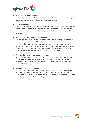

#### ● **Monitoring Risk Management**

Developing and implementing a risk management strategy, including continuing to review and assess our organizational policies and conduct

# **● Code of Conduct**

We maintain a strict code of conduct for all members of United Play International and it's branches. This code of conduct outlines the professional behavior expected, as well as the ethical boundaries of our organization, both inside and outside of the workplace.

# **● Professional Team Members and Volunteers**

We take great measures to make sure that our team is knowledgeable on both sport for development and child rights and protection. Each team member must receive a criminal background and vulnerable sector check within their home country. In addition, all volunteers are to be coached on child protection, and how to work and interact with children and vulnerable populations. This allows us to maintain a child-safe environment in each of our workshops and activities.

# **● Promote the active participation of children**

Motivate children and young people to be involved in promoting and maintaining a child-safe environment for our events, workshops and activities. This is often achieved by enlisting local community leaders in order to establish a sense of community ownership and safety.

# **● Document, report and respond**

It is vital that our team members, partner organizations, community leaders, and program volunteers are able to recognize and respond to any signs of abuse, exploitation, or neglect. These reports are to be immediately submitted to the proper authorities, in the interest of child safety.

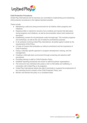

## **Child Protection Procedures**

United Play International and its branches are committed to implementing and maintaining child protection procedures to the highest standard possible.

These include:

- Maintaining a safe and caring environment for all children within programs and initiatives;
- Keeping written or electronic records of any incidents and injuries that take place during programs and initiatives, as well as documentation about what medical aid was given;
- Establishing consent for all participants under the legal age. This includes programs and workshops, as well as the use of media for promotional purposes;
- In all contracts involving United Play International, all parties agree to abide by the requirements of this Policy;
- A Code of Conduct that embodies our ethical commitment and the importance of Child Protection;
- Using a culturally specific approach in program development, training, and risk management;
- Creating a child-safe team environment through screening and selective staff recruitment;
- Providing training to staff on Child Protection Policy;
- Establish reporting procedures are known to staff and partner organisations;
- The removal of any individual who poses a risk to child safety and wellbeing, in connection with United Play or its programs;
- United Play International retains the right to terminate or suspend the employment of any individual found in breach of the Child Protection Policy; and
- Monitor and Review this policy on a consistent basis.

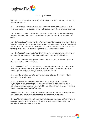

# **Glossary of Terms**

**Child Abuse:** Actions which can directly or indirectly harm a child, and can put their safety and well being at risk.

**Child Exploitation:** is the unjust, cruel and harmful use of children for someone else´s advantage, including manipulation, abuse, victimization, oppression or a harmful treatment.

**Child Protection:** The work in which laws, policies, programs and systems are specially designed and strengthened to protect children in a given community, including their own family.

**Child Safeguarding:** The responsibility of all members of the organization to ensure that no harm is done to the children and that above all, that their safety is prioritized and maintained at all times within the communities in which the organization works. Any case that breaches the safeguarding will be immediately reported to the appropriate authorities.

**Child Trafficking:** The transport of a child within a country, or across borders, by force for someone else´s advantage. It can be for both economic and sexual exploitation.

**Child:** A child is defined as any person under the age of 18 years, as dictated by the UN Convention on the Rights of the Child.

**Discrimination of the Child:** Discriminating, excluding, neglecting, or mistreating a child because of a given circumstance. This can include a number of factors such as: race, ethnicity, gender, religion, language, disability, social status, etc.

**Economic Exploitation:** Using the child for working or other activities that benefit the economic interests of others.

**Emotional Abuse:** Poor emotional treatment of a child, which can lead to severe psychological trauma and damage a child's emotional development. This can include: ignoring, shaming, yelling at, demeaning, frightening, or humiliating a child to a point that it affects their development and self esteem.

**Manipulation:** The intent of changing someone's perceptions of behavior through devious and unfair tactics. Manipulation can be used to exploit and abuse children.

**Neglect:** The failure to provide adequate: food, shelter, clothing, protection from physical or emotional harm, fulfillment of basic emotional needs, lack of medical care treatment, educational needs, etc. from the caretakers.

www.unitedplayinternational.com

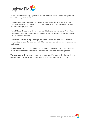

**Partner Organization:** Any organization that has formed a formal partnership agreement with United Play International.

**Physical Abuse:** Intentionally causing physical harm of any kind to a child. It is a duty of those with legal authority to protect children from physical harm, and failure to do so may also be deemed physical abuse.

**Sexual Abuse:** The act of forcing or coercing a child into sexual activities of ANY nature. This applies to activities without physical contact, or sexually suggestive behaviour of which the child may not be aware.

**Sexual Exploitation:** Taking advantage of a child's position of vulnerability, differential power or trust for sexual endeavors. It might be a monetary exploitation or a personal sexual gratification.

**Team Member:** This includes members of United Play International, and the branches of United Play International. This can also include event volunteers in regional projects.

**Violence Against Children:** Any harm that impacts a child's health, well-being, survival, or development. This can include physical, emotional, and verbal abuse in all forms.